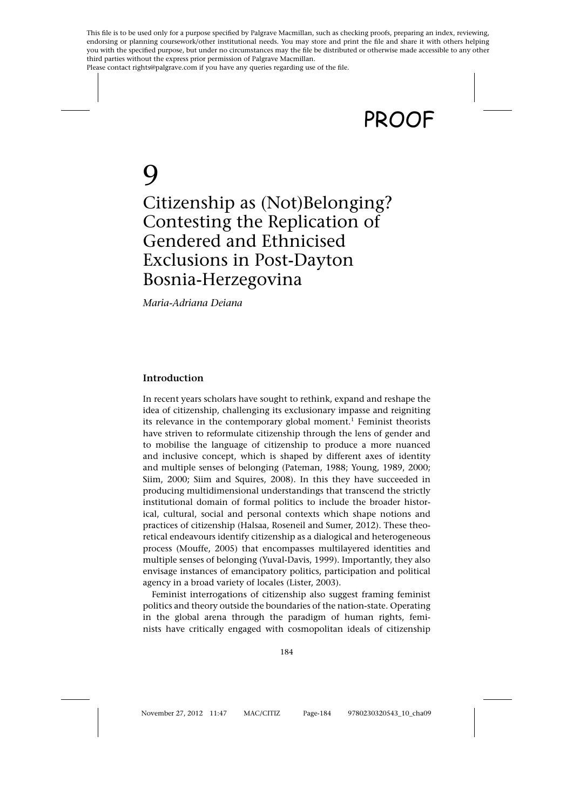This file is to be used only for a purpose specified by Palgrave Macmillan, such as checking proofs, preparing an index, reviewing, endorsing or planning coursework/other institutional needs. You may store and print the file and share it with others helping you with the specified purpose, but under no circumstances may the file be distributed or otherwise made accessible to any other third parties without the express prior permission of Palgrave Macmillan.

Please contact rights@palgrave.com if you have any queries regarding use of the file.

## PROOF

# 9

### Citizenship as (Not)Belonging? Contesting the Replication of Gendered and Ethnicised Exclusions in Post-Dayton Bosnia-Herzegovina

*Maria-Adriana Deiana*

### **Introduction**

In recent years scholars have sought to rethink, expand and reshape the idea of citizenship, challenging its exclusionary impasse and reigniting its relevance in the contemporary global moment.<sup>1</sup> Feminist theorists have striven to reformulate citizenship through the lens of gender and to mobilise the language of citizenship to produce a more nuanced and inclusive concept, which is shaped by different axes of identity and multiple senses of belonging (Pateman, 1988; Young, 1989, 2000; Siim, 2000; Siim and Squires, 2008). In this they have succeeded in producing multidimensional understandings that transcend the strictly institutional domain of formal politics to include the broader historical, cultural, social and personal contexts which shape notions and practices of citizenship (Halsaa, Roseneil and Sumer, 2012). These theoretical endeavours identify citizenship as a dialogical and heterogeneous process (Mouffe, 2005) that encompasses multilayered identities and multiple senses of belonging (Yuval-Davis, 1999). Importantly, they also envisage instances of emancipatory politics, participation and political agency in a broad variety of locales (Lister, 2003).

Feminist interrogations of citizenship also suggest framing feminist politics and theory outside the boundaries of the nation-state. Operating in the global arena through the paradigm of human rights, feminists have critically engaged with cosmopolitan ideals of citizenship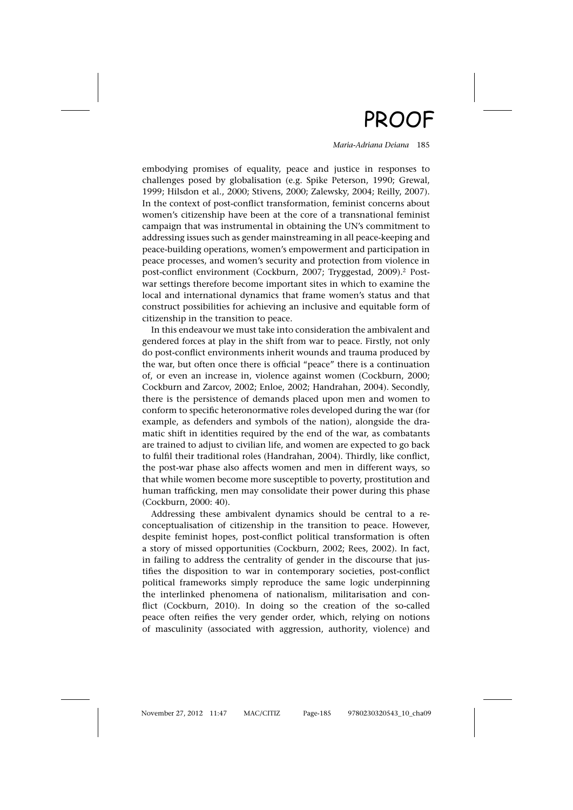*Maria-Adriana Deiana* 185

embodying promises of equality, peace and justice in responses to challenges posed by globalisation (e.g. Spike Peterson, 1990; Grewal, 1999; Hilsdon et al., 2000; Stivens, 2000; Zalewsky, 2004; Reilly, 2007). In the context of post-conflict transformation, feminist concerns about women's citizenship have been at the core of a transnational feminist campaign that was instrumental in obtaining the UN's commitment to addressing issues such as gender mainstreaming in all peace-keeping and peace-building operations, women's empowerment and participation in peace processes, and women's security and protection from violence in post-conflict environment (Cockburn, 2007; Tryggestad, 2009).2 Postwar settings therefore become important sites in which to examine the local and international dynamics that frame women's status and that construct possibilities for achieving an inclusive and equitable form of citizenship in the transition to peace.

In this endeavour we must take into consideration the ambivalent and gendered forces at play in the shift from war to peace. Firstly, not only do post-conflict environments inherit wounds and trauma produced by the war, but often once there is official "peace" there is a continuation of, or even an increase in, violence against women (Cockburn, 2000; Cockburn and Zarcov, 2002; Enloe, 2002; Handrahan, 2004). Secondly, there is the persistence of demands placed upon men and women to conform to specific heteronormative roles developed during the war (for example, as defenders and symbols of the nation), alongside the dramatic shift in identities required by the end of the war, as combatants are trained to adjust to civilian life, and women are expected to go back to fulfil their traditional roles (Handrahan, 2004). Thirdly, like conflict, the post-war phase also affects women and men in different ways, so that while women become more susceptible to poverty, prostitution and human trafficking, men may consolidate their power during this phase (Cockburn, 2000: 40).

Addressing these ambivalent dynamics should be central to a reconceptualisation of citizenship in the transition to peace. However, despite feminist hopes, post-conflict political transformation is often a story of missed opportunities (Cockburn, 2002; Rees, 2002). In fact, in failing to address the centrality of gender in the discourse that justifies the disposition to war in contemporary societies, post-conflict political frameworks simply reproduce the same logic underpinning the interlinked phenomena of nationalism, militarisation and conflict (Cockburn, 2010). In doing so the creation of the so-called peace often reifies the very gender order, which, relying on notions of masculinity (associated with aggression, authority, violence) and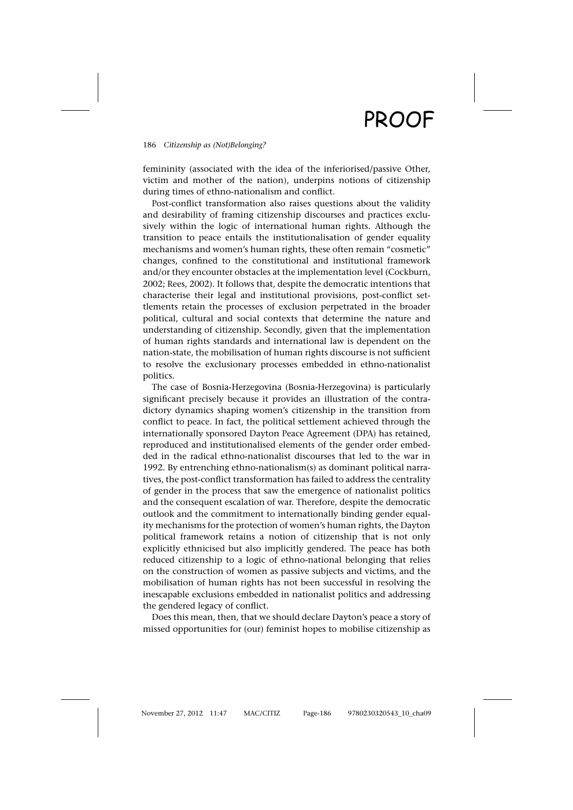#### 186 *Citizenship as (Not)Belonging?*

femininity (associated with the idea of the inferiorised/passive Other, victim and mother of the nation), underpins notions of citizenship during times of ethno-nationalism and conflict.

Post-conflict transformation also raises questions about the validity and desirability of framing citizenship discourses and practices exclusively within the logic of international human rights. Although the transition to peace entails the institutionalisation of gender equality mechanisms and women's human rights, these often remain "cosmetic" changes, confined to the constitutional and institutional framework and/or they encounter obstacles at the implementation level (Cockburn, 2002; Rees, 2002). It follows that, despite the democratic intentions that characterise their legal and institutional provisions, post-conflict settlements retain the processes of exclusion perpetrated in the broader political, cultural and social contexts that determine the nature and understanding of citizenship. Secondly, given that the implementation of human rights standards and international law is dependent on the nation-state, the mobilisation of human rights discourse is not sufficient to resolve the exclusionary processes embedded in ethno-nationalist politics.

The case of Bosnia-Herzegovina (Bosnia-Herzegovina) is particularly significant precisely because it provides an illustration of the contradictory dynamics shaping women's citizenship in the transition from conflict to peace. In fact, the political settlement achieved through the internationally sponsored Dayton Peace Agreement (DPA) has retained, reproduced and institutionalised elements of the gender order embedded in the radical ethno-nationalist discourses that led to the war in 1992. By entrenching ethno-nationalism(s) as dominant political narratives, the post-conflict transformation has failed to address the centrality of gender in the process that saw the emergence of nationalist politics and the consequent escalation of war. Therefore, despite the democratic outlook and the commitment to internationally binding gender equality mechanisms for the protection of women's human rights, the Dayton political framework retains a notion of citizenship that is not only explicitly ethnicised but also implicitly gendered. The peace has both reduced citizenship to a logic of ethno-national belonging that relies on the construction of women as passive subjects and victims, and the mobilisation of human rights has not been successful in resolving the inescapable exclusions embedded in nationalist politics and addressing the gendered legacy of conflict.

Does this mean, then, that we should declare Dayton's peace a story of missed opportunities for (our) feminist hopes to mobilise citizenship as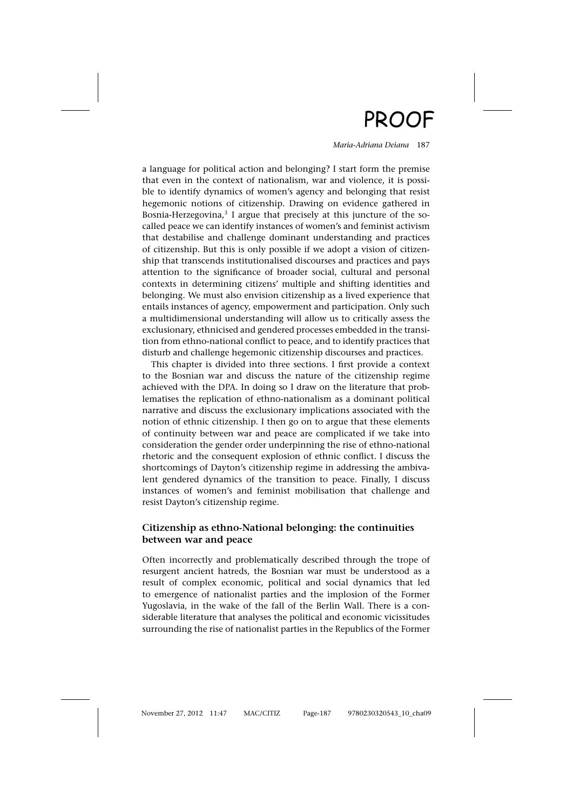*Maria-Adriana Deiana* 187

a language for political action and belonging? I start form the premise that even in the context of nationalism, war and violence, it is possible to identify dynamics of women's agency and belonging that resist hegemonic notions of citizenship. Drawing on evidence gathered in Bosnia-Herzegovina, $3$  I argue that precisely at this juncture of the socalled peace we can identify instances of women's and feminist activism that destabilise and challenge dominant understanding and practices of citizenship. But this is only possible if we adopt a vision of citizenship that transcends institutionalised discourses and practices and pays attention to the significance of broader social, cultural and personal contexts in determining citizens' multiple and shifting identities and belonging. We must also envision citizenship as a lived experience that entails instances of agency, empowerment and participation. Only such a multidimensional understanding will allow us to critically assess the exclusionary, ethnicised and gendered processes embedded in the transition from ethno-national conflict to peace, and to identify practices that disturb and challenge hegemonic citizenship discourses and practices.

This chapter is divided into three sections. I first provide a context to the Bosnian war and discuss the nature of the citizenship regime achieved with the DPA. In doing so I draw on the literature that problematises the replication of ethno-nationalism as a dominant political narrative and discuss the exclusionary implications associated with the notion of ethnic citizenship. I then go on to argue that these elements of continuity between war and peace are complicated if we take into consideration the gender order underpinning the rise of ethno-national rhetoric and the consequent explosion of ethnic conflict. I discuss the shortcomings of Dayton's citizenship regime in addressing the ambivalent gendered dynamics of the transition to peace. Finally, I discuss instances of women's and feminist mobilisation that challenge and resist Dayton's citizenship regime.

#### **Citizenship as ethno-National belonging: the continuities between war and peace**

Often incorrectly and problematically described through the trope of resurgent ancient hatreds, the Bosnian war must be understood as a result of complex economic, political and social dynamics that led to emergence of nationalist parties and the implosion of the Former Yugoslavia, in the wake of the fall of the Berlin Wall. There is a considerable literature that analyses the political and economic vicissitudes surrounding the rise of nationalist parties in the Republics of the Former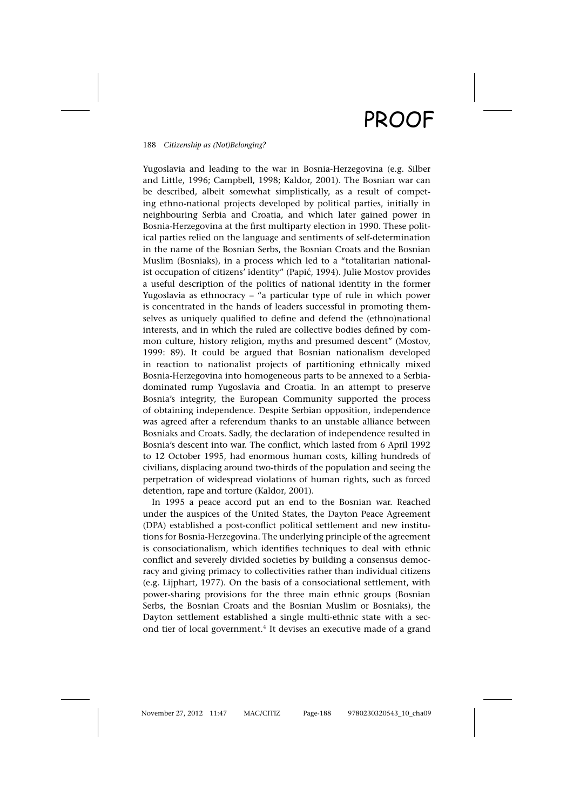#### 188 *Citizenship as (Not)Belonging?*

Yugoslavia and leading to the war in Bosnia-Herzegovina (e.g. Silber and Little, 1996; Campbell, 1998; Kaldor, 2001). The Bosnian war can be described, albeit somewhat simplistically, as a result of competing ethno-national projects developed by political parties, initially in neighbouring Serbia and Croatia, and which later gained power in Bosnia-Herzegovina at the first multiparty election in 1990. These political parties relied on the language and sentiments of self-determination in the name of the Bosnian Serbs, the Bosnian Croats and the Bosnian Muslim (Bosniaks), in a process which led to a "totalitarian nationalist occupation of citizens' identity" (Papic, 1994). Julie Mostov provides ´ a useful description of the politics of national identity in the former Yugoslavia as ethnocracy – "a particular type of rule in which power is concentrated in the hands of leaders successful in promoting themselves as uniquely qualified to define and defend the (ethno)national interests, and in which the ruled are collective bodies defined by common culture, history religion, myths and presumed descent" (Mostov, 1999: 89). It could be argued that Bosnian nationalism developed in reaction to nationalist projects of partitioning ethnically mixed Bosnia-Herzegovina into homogeneous parts to be annexed to a Serbiadominated rump Yugoslavia and Croatia. In an attempt to preserve Bosnia's integrity, the European Community supported the process of obtaining independence. Despite Serbian opposition, independence was agreed after a referendum thanks to an unstable alliance between Bosniaks and Croats. Sadly, the declaration of independence resulted in Bosnia's descent into war. The conflict, which lasted from 6 April 1992 to 12 October 1995, had enormous human costs, killing hundreds of civilians, displacing around two-thirds of the population and seeing the perpetration of widespread violations of human rights, such as forced detention, rape and torture (Kaldor, 2001).

In 1995 a peace accord put an end to the Bosnian war. Reached under the auspices of the United States, the Dayton Peace Agreement (DPA) established a post-conflict political settlement and new institutions for Bosnia-Herzegovina. The underlying principle of the agreement is consociationalism, which identifies techniques to deal with ethnic conflict and severely divided societies by building a consensus democracy and giving primacy to collectivities rather than individual citizens (e.g. Lijphart, 1977). On the basis of a consociational settlement, with power-sharing provisions for the three main ethnic groups (Bosnian Serbs, the Bosnian Croats and the Bosnian Muslim or Bosniaks), the Dayton settlement established a single multi-ethnic state with a second tier of local government.<sup>4</sup> It devises an executive made of a grand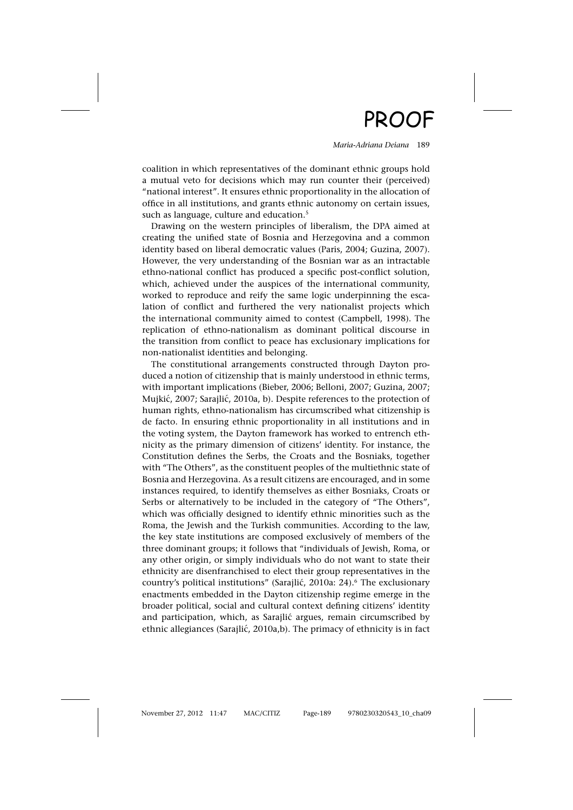*Maria-Adriana Deiana* 189

coalition in which representatives of the dominant ethnic groups hold a mutual veto for decisions which may run counter their (perceived) "national interest". It ensures ethnic proportionality in the allocation of office in all institutions, and grants ethnic autonomy on certain issues, such as language, culture and education.<sup>5</sup>

Drawing on the western principles of liberalism, the DPA aimed at creating the unified state of Bosnia and Herzegovina and a common identity based on liberal democratic values (Paris, 2004; Guzina, 2007). However, the very understanding of the Bosnian war as an intractable ethno-national conflict has produced a specific post-conflict solution, which, achieved under the auspices of the international community, worked to reproduce and reify the same logic underpinning the escalation of conflict and furthered the very nationalist projects which the international community aimed to contest (Campbell, 1998). The replication of ethno-nationalism as dominant political discourse in the transition from conflict to peace has exclusionary implications for non-nationalist identities and belonging.

The constitutional arrangements constructed through Dayton produced a notion of citizenship that is mainly understood in ethnic terms, with important implications (Bieber, 2006; Belloni, 2007; Guzina, 2007; Mujkić, 2007; Sarajlić, 2010a, b). Despite references to the protection of human rights, ethno-nationalism has circumscribed what citizenship is de facto. In ensuring ethnic proportionality in all institutions and in the voting system, the Dayton framework has worked to entrench ethnicity as the primary dimension of citizens' identity. For instance, the Constitution defines the Serbs, the Croats and the Bosniaks, together with "The Others", as the constituent peoples of the multiethnic state of Bosnia and Herzegovina. As a result citizens are encouraged, and in some instances required, to identify themselves as either Bosniaks, Croats or Serbs or alternatively to be included in the category of "The Others", which was officially designed to identify ethnic minorities such as the Roma, the Jewish and the Turkish communities. According to the law, the key state institutions are composed exclusively of members of the three dominant groups; it follows that "individuals of Jewish, Roma, or any other origin, or simply individuals who do not want to state their ethnicity are disenfranchised to elect their group representatives in the country's political institutions" (Sarajlić, 2010a: 24).<sup>6</sup> The exclusionary enactments embedded in the Dayton citizenship regime emerge in the broader political, social and cultural context defining citizens' identity and participation, which, as Sarajlic argues, remain circumscribed by ´ ethnic allegiances (Sarajlic, 2010a,b). The primacy of ethnicity is in fact ´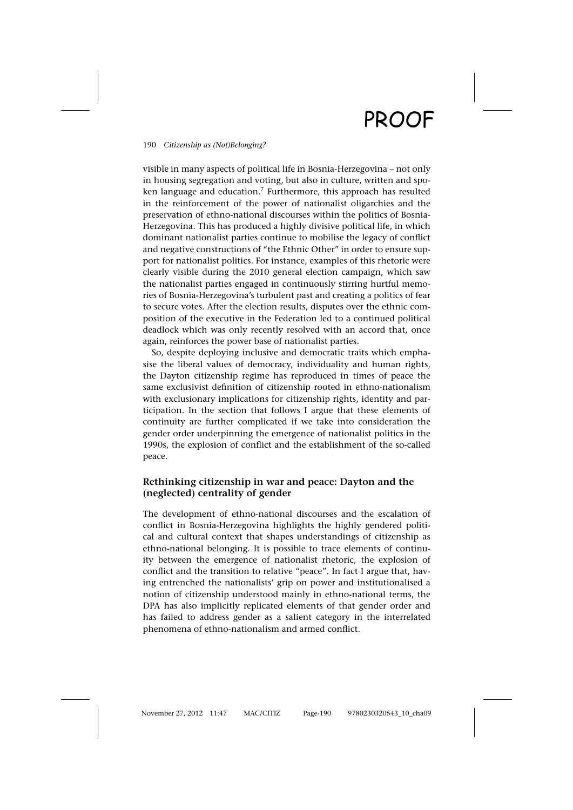#### 190 *Citizenship as (Not)Belonging?*

visible in many aspects of political life in Bosnia-Herzegovina – not only in housing segregation and voting, but also in culture, written and spoken language and education.<sup>7</sup> Furthermore, this approach has resulted in the reinforcement of the power of nationalist oligarchies and the preservation of ethno-national discourses within the politics of Bosnia-Herzegovina. This has produced a highly divisive political life, in which dominant nationalist parties continue to mobilise the legacy of conflict and negative constructions of "the Ethnic Other" in order to ensure support for nationalist politics. For instance, examples of this rhetoric were clearly visible during the 2010 general election campaign, which saw the nationalist parties engaged in continuously stirring hurtful memories of Bosnia-Herzegovina's turbulent past and creating a politics of fear to secure votes. After the election results, disputes over the ethnic composition of the executive in the Federation led to a continued political deadlock which was only recently resolved with an accord that, once again, reinforces the power base of nationalist parties.

So, despite deploying inclusive and democratic traits which emphasise the liberal values of democracy, individuality and human rights, the Dayton citizenship regime has reproduced in times of peace the same exclusivist definition of citizenship rooted in ethno-nationalism with exclusionary implications for citizenship rights, identity and participation. In the section that follows I argue that these elements of continuity are further complicated if we take into consideration the gender order underpinning the emergence of nationalist politics in the 1990s, the explosion of conflict and the establishment of the so-called peace.

### **Rethinking citizenship in war and peace: Dayton and the (neglected) centrality of gender**

The development of ethno-national discourses and the escalation of conflict in Bosnia-Herzegovina highlights the highly gendered political and cultural context that shapes understandings of citizenship as ethno-national belonging. It is possible to trace elements of continuity between the emergence of nationalist rhetoric, the explosion of conflict and the transition to relative "peace". In fact I argue that, having entrenched the nationalists' grip on power and institutionalised a notion of citizenship understood mainly in ethno-national terms, the DPA has also implicitly replicated elements of that gender order and has failed to address gender as a salient category in the interrelated phenomena of ethno-nationalism and armed conflict.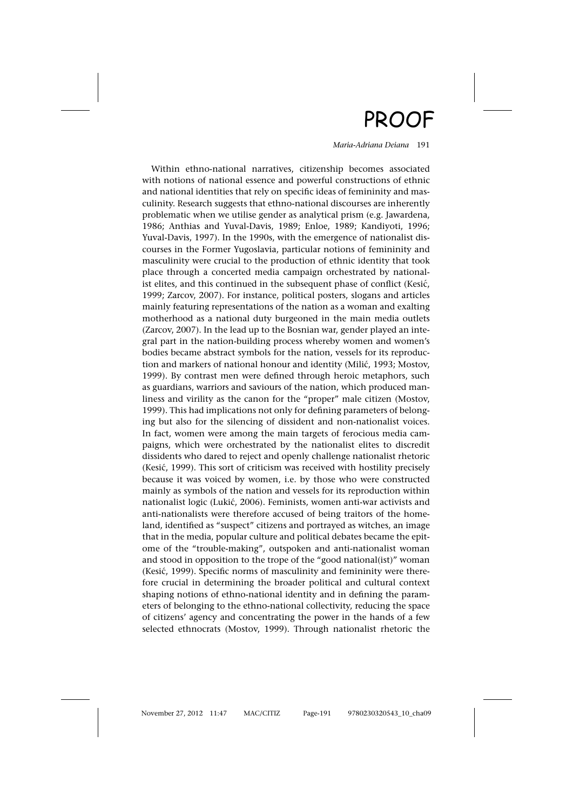*Maria-Adriana Deiana* 191

Within ethno-national narratives, citizenship becomes associated with notions of national essence and powerful constructions of ethnic and national identities that rely on specific ideas of femininity and masculinity. Research suggests that ethno-national discourses are inherently problematic when we utilise gender as analytical prism (e.g. Jawardena, 1986; Anthias and Yuval-Davis, 1989; Enloe, 1989; Kandiyoti, 1996; Yuval-Davis, 1997). In the 1990s, with the emergence of nationalist discourses in the Former Yugoslavia, particular notions of femininity and masculinity were crucial to the production of ethnic identity that took place through a concerted media campaign orchestrated by nationalist elites, and this continued in the subsequent phase of conflict (Kesić, 1999; Zarcov, 2007). For instance, political posters, slogans and articles mainly featuring representations of the nation as a woman and exalting motherhood as a national duty burgeoned in the main media outlets (Zarcov, 2007). In the lead up to the Bosnian war, gender played an integral part in the nation-building process whereby women and women's bodies became abstract symbols for the nation, vessels for its reproduction and markers of national honour and identity (Milić, 1993; Mostov, 1999). By contrast men were defined through heroic metaphors, such as guardians, warriors and saviours of the nation, which produced manliness and virility as the canon for the "proper" male citizen (Mostov, 1999). This had implications not only for defining parameters of belonging but also for the silencing of dissident and non-nationalist voices. In fact, women were among the main targets of ferocious media campaigns, which were orchestrated by the nationalist elites to discredit dissidents who dared to reject and openly challenge nationalist rhetoric (Kesic, 1999). This sort of criticism was received with hostility precisely ´ because it was voiced by women, i.e. by those who were constructed mainly as symbols of the nation and vessels for its reproduction within nationalist logic (Lukic, 2006). Feminists, women anti-war activists and ´ anti-nationalists were therefore accused of being traitors of the homeland, identified as "suspect" citizens and portrayed as witches, an image that in the media, popular culture and political debates became the epitome of the "trouble-making", outspoken and anti-nationalist woman and stood in opposition to the trope of the "good national(ist)" woman (Kesić, 1999). Specific norms of masculinity and femininity were therefore crucial in determining the broader political and cultural context shaping notions of ethno-national identity and in defining the parameters of belonging to the ethno-national collectivity, reducing the space of citizens' agency and concentrating the power in the hands of a few selected ethnocrats (Mostov, 1999). Through nationalist rhetoric the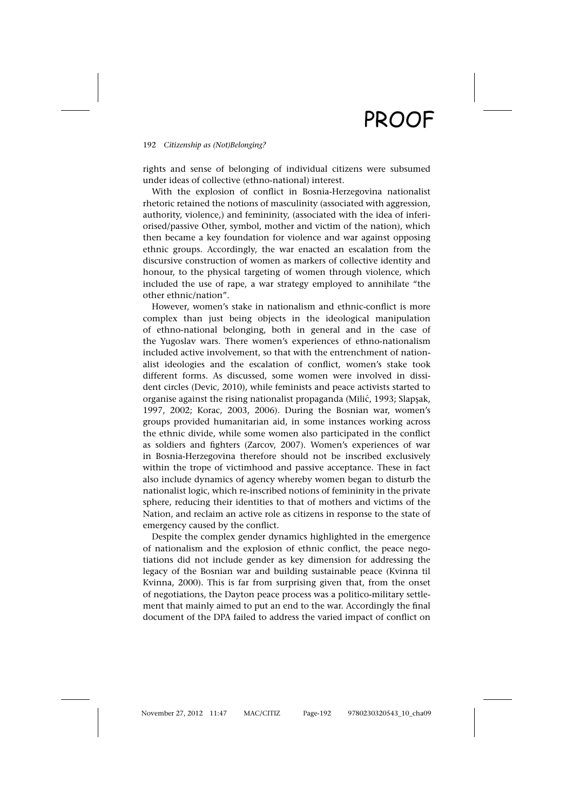#### 192 *Citizenship as (Not)Belonging?*

rights and sense of belonging of individual citizens were subsumed under ideas of collective (ethno-national) interest.

With the explosion of conflict in Bosnia-Herzegovina nationalist rhetoric retained the notions of masculinity (associated with aggression, authority, violence,) and femininity, (associated with the idea of inferiorised/passive Other, symbol, mother and victim of the nation), which then became a key foundation for violence and war against opposing ethnic groups. Accordingly, the war enacted an escalation from the discursive construction of women as markers of collective identity and honour, to the physical targeting of women through violence, which included the use of rape, a war strategy employed to annihilate "the other ethnic/nation".

However, women's stake in nationalism and ethnic-conflict is more complex than just being objects in the ideological manipulation of ethno-national belonging, both in general and in the case of the Yugoslav wars. There women's experiences of ethno-nationalism included active involvement, so that with the entrenchment of nationalist ideologies and the escalation of conflict, women's stake took different forms. As discussed, some women were involved in dissident circles (Devic, 2010), while feminists and peace activists started to organise against the rising nationalist propaganda (Milić, 1993; Slapşak, 1997, 2002; Korac, 2003, 2006). During the Bosnian war, women's groups provided humanitarian aid, in some instances working across the ethnic divide, while some women also participated in the conflict as soldiers and fighters (Zarcov, 2007). Women's experiences of war in Bosnia-Herzegovina therefore should not be inscribed exclusively within the trope of victimhood and passive acceptance. These in fact also include dynamics of agency whereby women began to disturb the nationalist logic, which re-inscribed notions of femininity in the private sphere, reducing their identities to that of mothers and victims of the Nation, and reclaim an active role as citizens in response to the state of emergency caused by the conflict.

Despite the complex gender dynamics highlighted in the emergence of nationalism and the explosion of ethnic conflict, the peace negotiations did not include gender as key dimension for addressing the legacy of the Bosnian war and building sustainable peace (Kvinna til Kvinna, 2000). This is far from surprising given that, from the onset of negotiations, the Dayton peace process was a politico-military settlement that mainly aimed to put an end to the war. Accordingly the final document of the DPA failed to address the varied impact of conflict on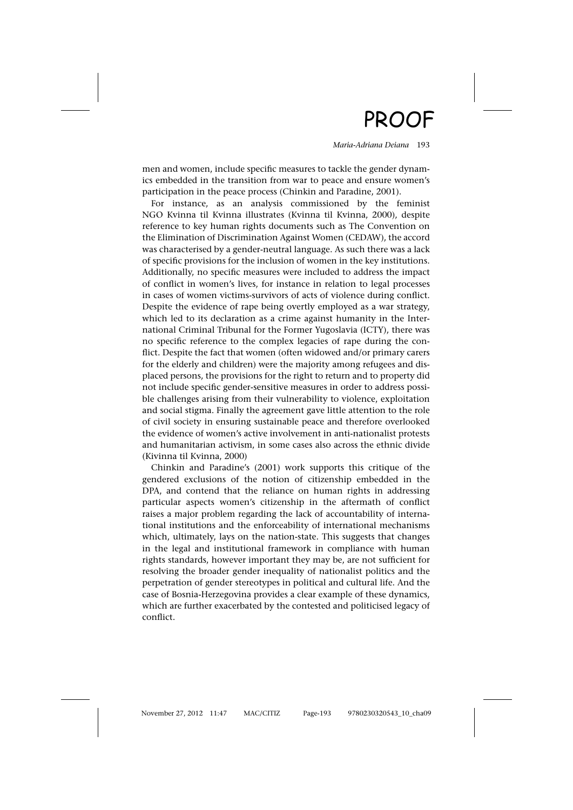*Maria-Adriana Deiana* 193

men and women, include specific measures to tackle the gender dynamics embedded in the transition from war to peace and ensure women's participation in the peace process (Chinkin and Paradine, 2001).

For instance, as an analysis commissioned by the feminist NGO Kvinna til Kvinna illustrates (Kvinna til Kvinna, 2000), despite reference to key human rights documents such as The Convention on the Elimination of Discrimination Against Women (CEDAW), the accord was characterised by a gender-neutral language. As such there was a lack of specific provisions for the inclusion of women in the key institutions. Additionally, no specific measures were included to address the impact of conflict in women's lives, for instance in relation to legal processes in cases of women victims-survivors of acts of violence during conflict. Despite the evidence of rape being overtly employed as a war strategy, which led to its declaration as a crime against humanity in the International Criminal Tribunal for the Former Yugoslavia (ICTY), there was no specific reference to the complex legacies of rape during the conflict. Despite the fact that women (often widowed and/or primary carers for the elderly and children) were the majority among refugees and displaced persons, the provisions for the right to return and to property did not include specific gender-sensitive measures in order to address possible challenges arising from their vulnerability to violence, exploitation and social stigma. Finally the agreement gave little attention to the role of civil society in ensuring sustainable peace and therefore overlooked the evidence of women's active involvement in anti-nationalist protests and humanitarian activism, in some cases also across the ethnic divide (Kivinna til Kvinna, 2000)

Chinkin and Paradine's (2001) work supports this critique of the gendered exclusions of the notion of citizenship embedded in the DPA, and contend that the reliance on human rights in addressing particular aspects women's citizenship in the aftermath of conflict raises a major problem regarding the lack of accountability of international institutions and the enforceability of international mechanisms which, ultimately, lays on the nation-state. This suggests that changes in the legal and institutional framework in compliance with human rights standards, however important they may be, are not sufficient for resolving the broader gender inequality of nationalist politics and the perpetration of gender stereotypes in political and cultural life. And the case of Bosnia-Herzegovina provides a clear example of these dynamics, which are further exacerbated by the contested and politicised legacy of conflict.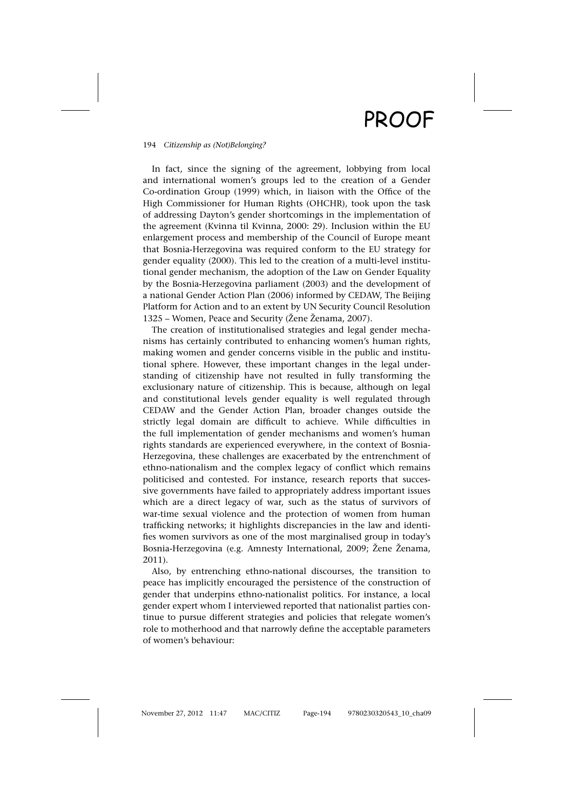#### 194 *Citizenship as (Not)Belonging?*

In fact, since the signing of the agreement, lobbying from local and international women's groups led to the creation of a Gender Co-ordination Group (1999) which, in liaison with the Office of the High Commissioner for Human Rights (OHCHR), took upon the task of addressing Dayton's gender shortcomings in the implementation of the agreement (Kvinna til Kvinna, 2000: 29). Inclusion within the EU enlargement process and membership of the Council of Europe meant that Bosnia-Herzegovina was required conform to the EU strategy for gender equality (2000). This led to the creation of a multi-level institutional gender mechanism, the adoption of the Law on Gender Equality by the Bosnia-Herzegovina parliament (2003) and the development of a national Gender Action Plan (2006) informed by CEDAW, The Beijing Platform for Action and to an extent by UN Security Council Resolution 1325 – Women, Peace and Security (Žene Ženama, 2007).

The creation of institutionalised strategies and legal gender mechanisms has certainly contributed to enhancing women's human rights, making women and gender concerns visible in the public and institutional sphere. However, these important changes in the legal understanding of citizenship have not resulted in fully transforming the exclusionary nature of citizenship. This is because, although on legal and constitutional levels gender equality is well regulated through CEDAW and the Gender Action Plan, broader changes outside the strictly legal domain are difficult to achieve. While difficulties in the full implementation of gender mechanisms and women's human rights standards are experienced everywhere, in the context of Bosnia-Herzegovina, these challenges are exacerbated by the entrenchment of ethno-nationalism and the complex legacy of conflict which remains politicised and contested. For instance, research reports that successive governments have failed to appropriately address important issues which are a direct legacy of war, such as the status of survivors of war-time sexual violence and the protection of women from human trafficking networks; it highlights discrepancies in the law and identifies women survivors as one of the most marginalised group in today's Bosnia-Herzegovina (e.g. Amnesty International, 2009; Žene Ženama, 2011).

Also, by entrenching ethno-national discourses, the transition to peace has implicitly encouraged the persistence of the construction of gender that underpins ethno-nationalist politics. For instance, a local gender expert whom I interviewed reported that nationalist parties continue to pursue different strategies and policies that relegate women's role to motherhood and that narrowly define the acceptable parameters of women's behaviour: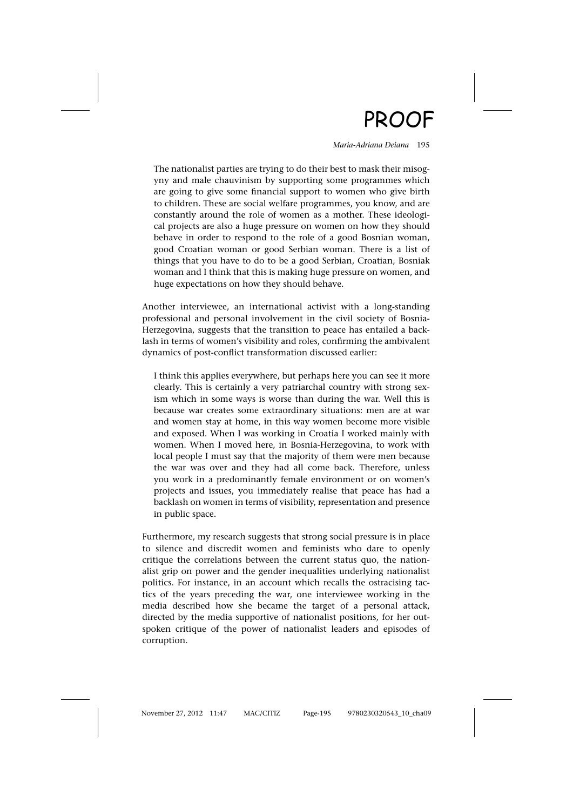*Maria-Adriana Deiana* 195

The nationalist parties are trying to do their best to mask their misogyny and male chauvinism by supporting some programmes which are going to give some financial support to women who give birth to children. These are social welfare programmes, you know, and are constantly around the role of women as a mother. These ideological projects are also a huge pressure on women on how they should behave in order to respond to the role of a good Bosnian woman, good Croatian woman or good Serbian woman. There is a list of things that you have to do to be a good Serbian, Croatian, Bosniak woman and I think that this is making huge pressure on women, and huge expectations on how they should behave.

Another interviewee, an international activist with a long-standing professional and personal involvement in the civil society of Bosnia-Herzegovina, suggests that the transition to peace has entailed a backlash in terms of women's visibility and roles, confirming the ambivalent dynamics of post-conflict transformation discussed earlier:

I think this applies everywhere, but perhaps here you can see it more clearly. This is certainly a very patriarchal country with strong sexism which in some ways is worse than during the war. Well this is because war creates some extraordinary situations: men are at war and women stay at home, in this way women become more visible and exposed. When I was working in Croatia I worked mainly with women. When I moved here, in Bosnia-Herzegovina, to work with local people I must say that the majority of them were men because the war was over and they had all come back. Therefore, unless you work in a predominantly female environment or on women's projects and issues, you immediately realise that peace has had a backlash on women in terms of visibility, representation and presence in public space.

Furthermore, my research suggests that strong social pressure is in place to silence and discredit women and feminists who dare to openly critique the correlations between the current status quo, the nationalist grip on power and the gender inequalities underlying nationalist politics. For instance, in an account which recalls the ostracising tactics of the years preceding the war, one interviewee working in the media described how she became the target of a personal attack, directed by the media supportive of nationalist positions, for her outspoken critique of the power of nationalist leaders and episodes of corruption.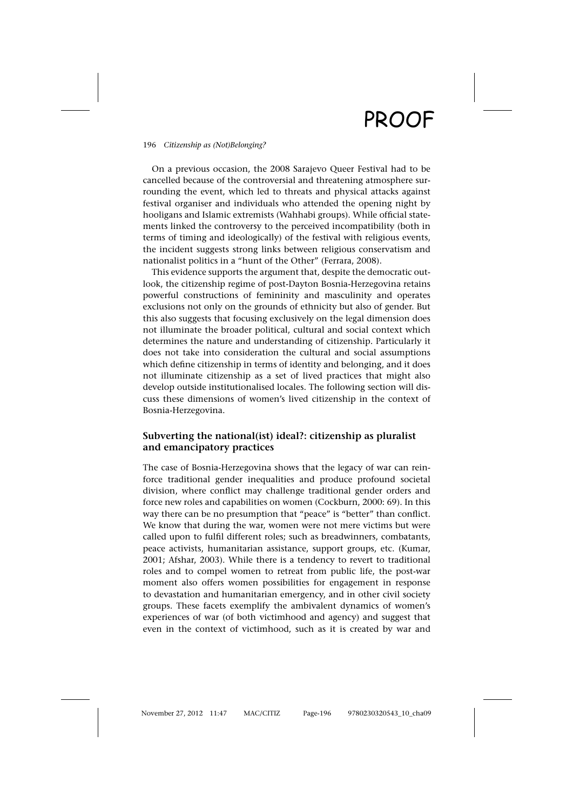#### 196 *Citizenship as (Not)Belonging?*

On a previous occasion, the 2008 Sarajevo Queer Festival had to be cancelled because of the controversial and threatening atmosphere surrounding the event, which led to threats and physical attacks against festival organiser and individuals who attended the opening night by hooligans and Islamic extremists (Wahhabi groups). While official statements linked the controversy to the perceived incompatibility (both in terms of timing and ideologically) of the festival with religious events, the incident suggests strong links between religious conservatism and nationalist politics in a "hunt of the Other" (Ferrara, 2008).

This evidence supports the argument that, despite the democratic outlook, the citizenship regime of post-Dayton Bosnia-Herzegovina retains powerful constructions of femininity and masculinity and operates exclusions not only on the grounds of ethnicity but also of gender. But this also suggests that focusing exclusively on the legal dimension does not illuminate the broader political, cultural and social context which determines the nature and understanding of citizenship. Particularly it does not take into consideration the cultural and social assumptions which define citizenship in terms of identity and belonging, and it does not illuminate citizenship as a set of lived practices that might also develop outside institutionalised locales. The following section will discuss these dimensions of women's lived citizenship in the context of Bosnia-Herzegovina.

### **Subverting the national(ist) ideal?: citizenship as pluralist and emancipatory practices**

The case of Bosnia-Herzegovina shows that the legacy of war can reinforce traditional gender inequalities and produce profound societal division, where conflict may challenge traditional gender orders and force new roles and capabilities on women (Cockburn, 2000: 69). In this way there can be no presumption that "peace" is "better" than conflict. We know that during the war, women were not mere victims but were called upon to fulfil different roles; such as breadwinners, combatants, peace activists, humanitarian assistance, support groups, etc. (Kumar, 2001; Afshar, 2003). While there is a tendency to revert to traditional roles and to compel women to retreat from public life, the post-war moment also offers women possibilities for engagement in response to devastation and humanitarian emergency, and in other civil society groups. These facets exemplify the ambivalent dynamics of women's experiences of war (of both victimhood and agency) and suggest that even in the context of victimhood, such as it is created by war and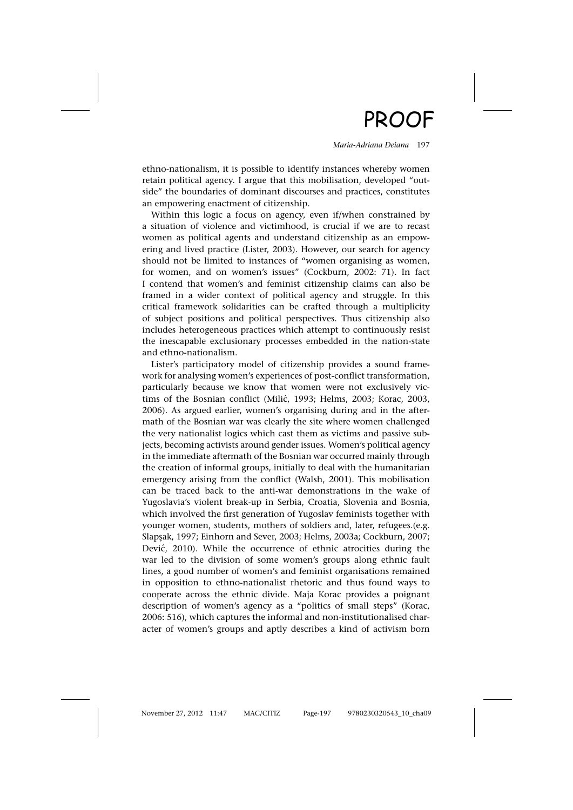*Maria-Adriana Deiana* 197

ethno-nationalism, it is possible to identify instances whereby women retain political agency. I argue that this mobilisation, developed "outside" the boundaries of dominant discourses and practices, constitutes an empowering enactment of citizenship.

Within this logic a focus on agency, even if/when constrained by a situation of violence and victimhood, is crucial if we are to recast women as political agents and understand citizenship as an empowering and lived practice (Lister, 2003). However, our search for agency should not be limited to instances of "women organising as women, for women, and on women's issues" (Cockburn, 2002: 71). In fact I contend that women's and feminist citizenship claims can also be framed in a wider context of political agency and struggle. In this critical framework solidarities can be crafted through a multiplicity of subject positions and political perspectives. Thus citizenship also includes heterogeneous practices which attempt to continuously resist the inescapable exclusionary processes embedded in the nation-state and ethno-nationalism.

Lister's participatory model of citizenship provides a sound framework for analysing women's experiences of post-conflict transformation, particularly because we know that women were not exclusively victims of the Bosnian conflict (Milić, 1993; Helms, 2003; Korac, 2003, 2006). As argued earlier, women's organising during and in the aftermath of the Bosnian war was clearly the site where women challenged the very nationalist logics which cast them as victims and passive subjects, becoming activists around gender issues. Women's political agency in the immediate aftermath of the Bosnian war occurred mainly through the creation of informal groups, initially to deal with the humanitarian emergency arising from the conflict (Walsh, 2001). This mobilisation can be traced back to the anti-war demonstrations in the wake of Yugoslavia's violent break-up in Serbia, Croatia, Slovenia and Bosnia, which involved the first generation of Yugoslav feminists together with younger women, students, mothers of soldiers and, later, refugees.(e.g. Slapşak, 1997; Einhorn and Sever, 2003; Helms, 2003a; Cockburn, 2007; Dević, 2010). While the occurrence of ethnic atrocities during the war led to the division of some women's groups along ethnic fault lines, a good number of women's and feminist organisations remained in opposition to ethno-nationalist rhetoric and thus found ways to cooperate across the ethnic divide. Maja Korac provides a poignant description of women's agency as a "politics of small steps" (Korac, 2006: 516), which captures the informal and non-institutionalised character of women's groups and aptly describes a kind of activism born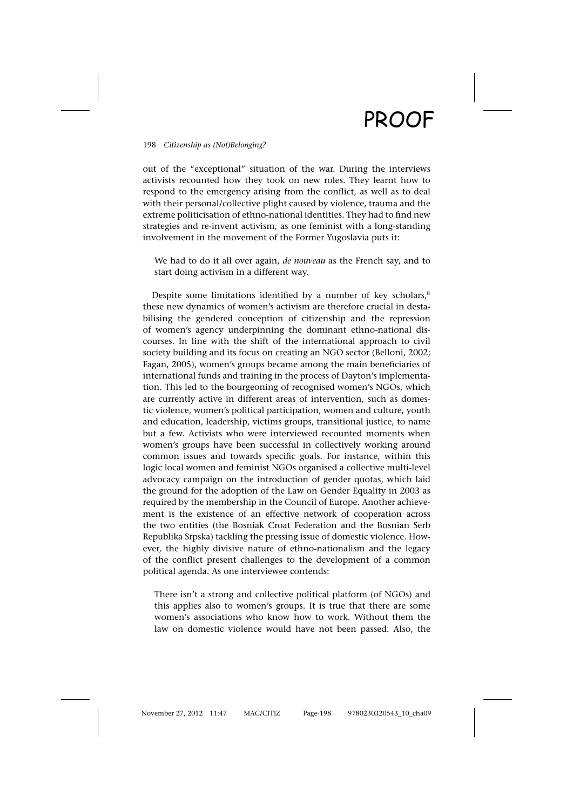#### 198 *Citizenship as (Not)Belonging?*

out of the "exceptional" situation of the war. During the interviews activists recounted how they took on new roles. They learnt how to respond to the emergency arising from the conflict, as well as to deal with their personal/collective plight caused by violence, trauma and the extreme politicisation of ethno-national identities. They had to find new strategies and re-invent activism, as one feminist with a long-standing involvement in the movement of the Former Yugoslavia puts it:

We had to do it all over again, *de nouveau* as the French say, and to start doing activism in a different way.

Despite some limitations identified by a number of key scholars, $8$ these new dynamics of women's activism are therefore crucial in destabilising the gendered conception of citizenship and the repression of women's agency underpinning the dominant ethno-national discourses. In line with the shift of the international approach to civil society building and its focus on creating an NGO sector (Belloni, 2002; Fagan, 2005), women's groups became among the main beneficiaries of international funds and training in the process of Dayton's implementation. This led to the bourgeoning of recognised women's NGOs, which are currently active in different areas of intervention, such as domestic violence, women's political participation, women and culture, youth and education, leadership, victims groups, transitional justice, to name but a few. Activists who were interviewed recounted moments when women's groups have been successful in collectively working around common issues and towards specific goals. For instance, within this logic local women and feminist NGOs organised a collective multi-level advocacy campaign on the introduction of gender quotas, which laid the ground for the adoption of the Law on Gender Equality in 2003 as required by the membership in the Council of Europe. Another achievement is the existence of an effective network of cooperation across the two entities (the Bosniak Croat Federation and the Bosnian Serb Republika Srpska) tackling the pressing issue of domestic violence. However, the highly divisive nature of ethno-nationalism and the legacy of the conflict present challenges to the development of a common political agenda. As one interviewee contends:

There isn't a strong and collective political platform (of NGOs) and this applies also to women's groups. It is true that there are some women's associations who know how to work. Without them the law on domestic violence would have not been passed. Also, the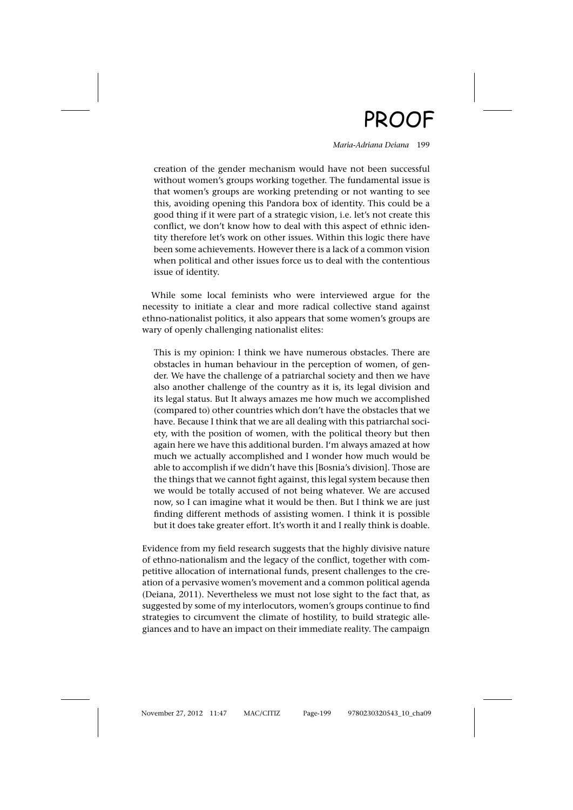*Maria-Adriana Deiana* 199

creation of the gender mechanism would have not been successful without women's groups working together. The fundamental issue is that women's groups are working pretending or not wanting to see this, avoiding opening this Pandora box of identity. This could be a good thing if it were part of a strategic vision, i.e. let's not create this conflict, we don't know how to deal with this aspect of ethnic identity therefore let's work on other issues. Within this logic there have been some achievements. However there is a lack of a common vision when political and other issues force us to deal with the contentious issue of identity.

While some local feminists who were interviewed argue for the necessity to initiate a clear and more radical collective stand against ethno-nationalist politics, it also appears that some women's groups are wary of openly challenging nationalist elites:

This is my opinion: I think we have numerous obstacles. There are obstacles in human behaviour in the perception of women, of gender. We have the challenge of a patriarchal society and then we have also another challenge of the country as it is, its legal division and its legal status. But It always amazes me how much we accomplished (compared to) other countries which don't have the obstacles that we have. Because I think that we are all dealing with this patriarchal society, with the position of women, with the political theory but then again here we have this additional burden. I'm always amazed at how much we actually accomplished and I wonder how much would be able to accomplish if we didn't have this [Bosnia's division]. Those are the things that we cannot fight against, this legal system because then we would be totally accused of not being whatever. We are accused now, so I can imagine what it would be then. But I think we are just finding different methods of assisting women. I think it is possible but it does take greater effort. It's worth it and I really think is doable.

Evidence from my field research suggests that the highly divisive nature of ethno-nationalism and the legacy of the conflict, together with competitive allocation of international funds, present challenges to the creation of a pervasive women's movement and a common political agenda (Deiana, 2011). Nevertheless we must not lose sight to the fact that, as suggested by some of my interlocutors, women's groups continue to find strategies to circumvent the climate of hostility, to build strategic allegiances and to have an impact on their immediate reality. The campaign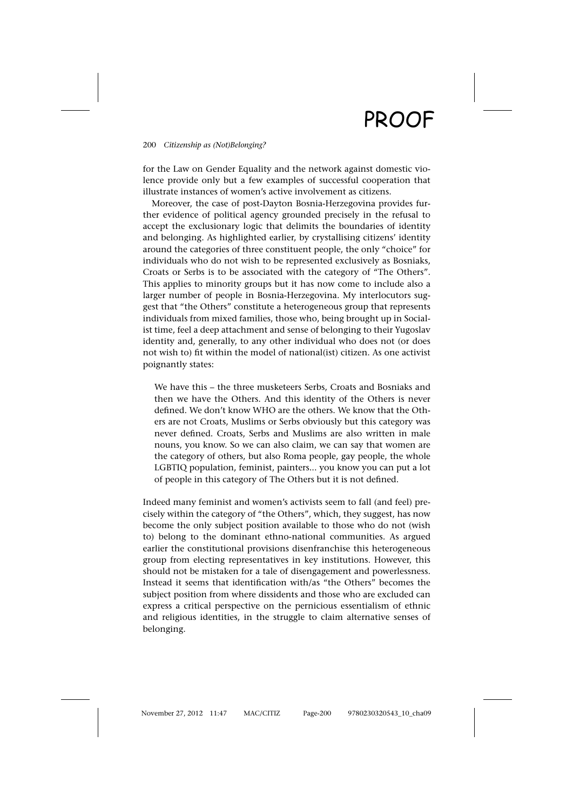#### 200 *Citizenship as (Not)Belonging?*

for the Law on Gender Equality and the network against domestic violence provide only but a few examples of successful cooperation that illustrate instances of women's active involvement as citizens.

Moreover, the case of post-Dayton Bosnia-Herzegovina provides further evidence of political agency grounded precisely in the refusal to accept the exclusionary logic that delimits the boundaries of identity and belonging. As highlighted earlier, by crystallising citizens' identity around the categories of three constituent people, the only "choice" for individuals who do not wish to be represented exclusively as Bosniaks, Croats or Serbs is to be associated with the category of "The Others". This applies to minority groups but it has now come to include also a larger number of people in Bosnia-Herzegovina. My interlocutors suggest that "the Others" constitute a heterogeneous group that represents individuals from mixed families, those who, being brought up in Socialist time, feel a deep attachment and sense of belonging to their Yugoslav identity and, generally, to any other individual who does not (or does not wish to) fit within the model of national(ist) citizen. As one activist poignantly states:

We have this – the three musketeers Serbs, Croats and Bosniaks and then we have the Others. And this identity of the Others is never defined. We don't know WHO are the others. We know that the Others are not Croats, Muslims or Serbs obviously but this category was never defined. Croats, Serbs and Muslims are also written in male nouns, you know. So we can also claim, we can say that women are the category of others, but also Roma people, gay people, the whole LGBTIQ population, feminist, painters... you know you can put a lot of people in this category of The Others but it is not defined.

Indeed many feminist and women's activists seem to fall (and feel) precisely within the category of "the Others", which, they suggest, has now become the only subject position available to those who do not (wish to) belong to the dominant ethno-national communities. As argued earlier the constitutional provisions disenfranchise this heterogeneous group from electing representatives in key institutions. However, this should not be mistaken for a tale of disengagement and powerlessness. Instead it seems that identification with/as "the Others" becomes the subject position from where dissidents and those who are excluded can express a critical perspective on the pernicious essentialism of ethnic and religious identities, in the struggle to claim alternative senses of belonging.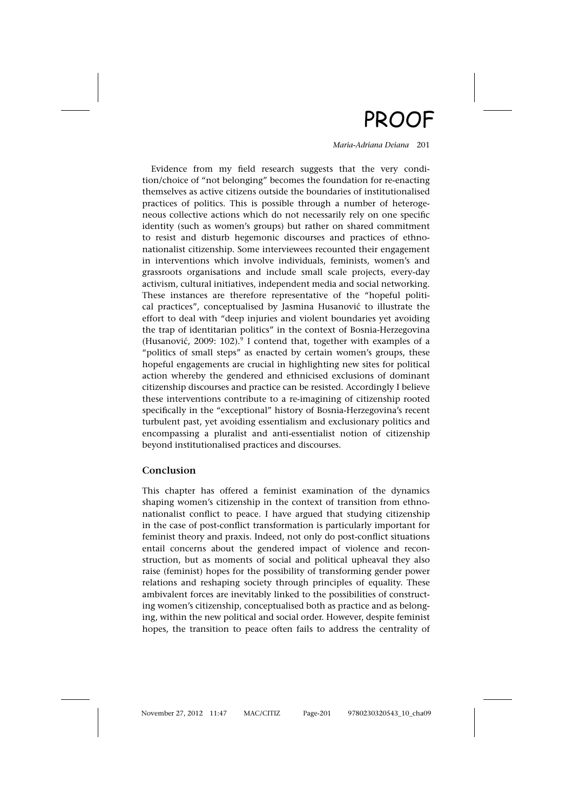*Maria-Adriana Deiana* 201

Evidence from my field research suggests that the very condition/choice of "not belonging" becomes the foundation for re-enacting themselves as active citizens outside the boundaries of institutionalised practices of politics. This is possible through a number of heterogeneous collective actions which do not necessarily rely on one specific identity (such as women's groups) but rather on shared commitment to resist and disturb hegemonic discourses and practices of ethnonationalist citizenship. Some interviewees recounted their engagement in interventions which involve individuals, feminists, women's and grassroots organisations and include small scale projects, every-day activism, cultural initiatives, independent media and social networking. These instances are therefore representative of the "hopeful political practices", conceptualised by Jasmina Husanović to illustrate the effort to deal with "deep injuries and violent boundaries yet avoiding the trap of identitarian politics" in the context of Bosnia-Herzegovina (Husanović, 2009: 102).<sup>9</sup> I contend that, together with examples of a "politics of small steps" as enacted by certain women's groups, these hopeful engagements are crucial in highlighting new sites for political action whereby the gendered and ethnicised exclusions of dominant citizenship discourses and practice can be resisted. Accordingly I believe these interventions contribute to a re-imagining of citizenship rooted specifically in the "exceptional" history of Bosnia-Herzegovina's recent turbulent past, yet avoiding essentialism and exclusionary politics and encompassing a pluralist and anti-essentialist notion of citizenship beyond institutionalised practices and discourses.

#### **Conclusion**

This chapter has offered a feminist examination of the dynamics shaping women's citizenship in the context of transition from ethnonationalist conflict to peace. I have argued that studying citizenship in the case of post-conflict transformation is particularly important for feminist theory and praxis. Indeed, not only do post-conflict situations entail concerns about the gendered impact of violence and reconstruction, but as moments of social and political upheaval they also raise (feminist) hopes for the possibility of transforming gender power relations and reshaping society through principles of equality. These ambivalent forces are inevitably linked to the possibilities of constructing women's citizenship, conceptualised both as practice and as belonging, within the new political and social order. However, despite feminist hopes, the transition to peace often fails to address the centrality of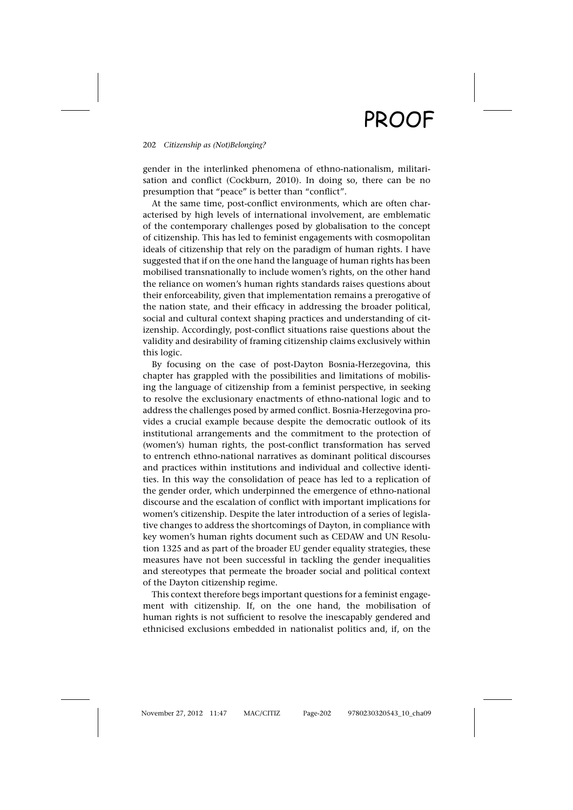#### 202 *Citizenship as (Not)Belonging?*

gender in the interlinked phenomena of ethno-nationalism, militarisation and conflict (Cockburn, 2010). In doing so, there can be no presumption that "peace" is better than "conflict".

At the same time, post-conflict environments, which are often characterised by high levels of international involvement, are emblematic of the contemporary challenges posed by globalisation to the concept of citizenship. This has led to feminist engagements with cosmopolitan ideals of citizenship that rely on the paradigm of human rights. I have suggested that if on the one hand the language of human rights has been mobilised transnationally to include women's rights, on the other hand the reliance on women's human rights standards raises questions about their enforceability, given that implementation remains a prerogative of the nation state, and their efficacy in addressing the broader political, social and cultural context shaping practices and understanding of citizenship. Accordingly, post-conflict situations raise questions about the validity and desirability of framing citizenship claims exclusively within this logic.

By focusing on the case of post-Dayton Bosnia-Herzegovina, this chapter has grappled with the possibilities and limitations of mobilising the language of citizenship from a feminist perspective, in seeking to resolve the exclusionary enactments of ethno-national logic and to address the challenges posed by armed conflict. Bosnia-Herzegovina provides a crucial example because despite the democratic outlook of its institutional arrangements and the commitment to the protection of (women's) human rights, the post-conflict transformation has served to entrench ethno-national narratives as dominant political discourses and practices within institutions and individual and collective identities. In this way the consolidation of peace has led to a replication of the gender order, which underpinned the emergence of ethno-national discourse and the escalation of conflict with important implications for women's citizenship. Despite the later introduction of a series of legislative changes to address the shortcomings of Dayton, in compliance with key women's human rights document such as CEDAW and UN Resolution 1325 and as part of the broader EU gender equality strategies, these measures have not been successful in tackling the gender inequalities and stereotypes that permeate the broader social and political context of the Dayton citizenship regime.

This context therefore begs important questions for a feminist engagement with citizenship. If, on the one hand, the mobilisation of human rights is not sufficient to resolve the inescapably gendered and ethnicised exclusions embedded in nationalist politics and, if, on the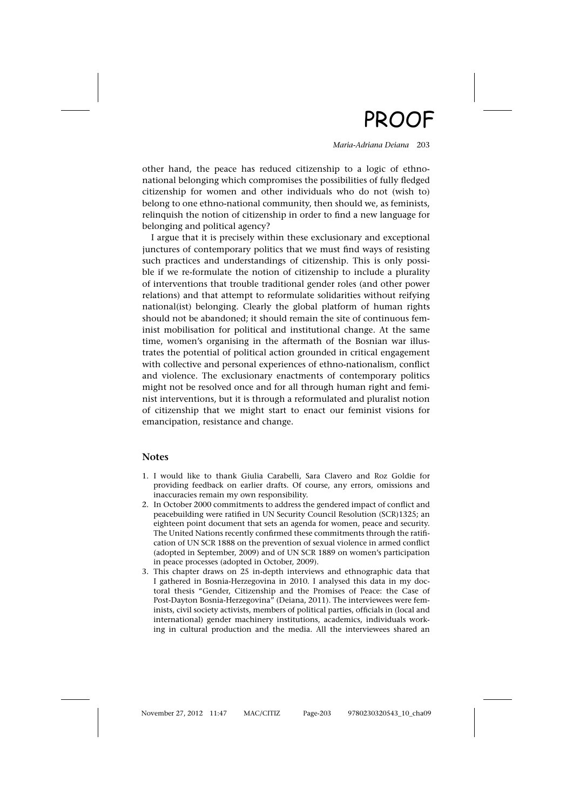*Maria-Adriana Deiana* 203

other hand, the peace has reduced citizenship to a logic of ethnonational belonging which compromises the possibilities of fully fledged citizenship for women and other individuals who do not (wish to) belong to one ethno-national community, then should we, as feminists, relinquish the notion of citizenship in order to find a new language for belonging and political agency?

I argue that it is precisely within these exclusionary and exceptional junctures of contemporary politics that we must find ways of resisting such practices and understandings of citizenship. This is only possible if we re-formulate the notion of citizenship to include a plurality of interventions that trouble traditional gender roles (and other power relations) and that attempt to reformulate solidarities without reifying national(ist) belonging. Clearly the global platform of human rights should not be abandoned; it should remain the site of continuous feminist mobilisation for political and institutional change. At the same time, women's organising in the aftermath of the Bosnian war illustrates the potential of political action grounded in critical engagement with collective and personal experiences of ethno-nationalism, conflict and violence. The exclusionary enactments of contemporary politics might not be resolved once and for all through human right and feminist interventions, but it is through a reformulated and pluralist notion of citizenship that we might start to enact our feminist visions for emancipation, resistance and change.

### **Notes**

- 1. I would like to thank Giulia Carabelli, Sara Clavero and Roz Goldie for providing feedback on earlier drafts. Of course, any errors, omissions and inaccuracies remain my own responsibility.
- 2. In October 2000 commitments to address the gendered impact of conflict and peacebuilding were ratified in UN Security Council Resolution (SCR)1325; an eighteen point document that sets an agenda for women, peace and security. The United Nations recently confirmed these commitments through the ratification of UN SCR 1888 on the prevention of sexual violence in armed conflict (adopted in September, 2009) and of UN SCR 1889 on women's participation in peace processes (adopted in October, 2009).
- 3. This chapter draws on 25 in-depth interviews and ethnographic data that I gathered in Bosnia-Herzegovina in 2010. I analysed this data in my doctoral thesis "Gender, Citizenship and the Promises of Peace: the Case of Post-Dayton Bosnia-Herzegovina" (Deiana, 2011). The interviewees were feminists, civil society activists, members of political parties, officials in (local and international) gender machinery institutions, academics, individuals working in cultural production and the media. All the interviewees shared an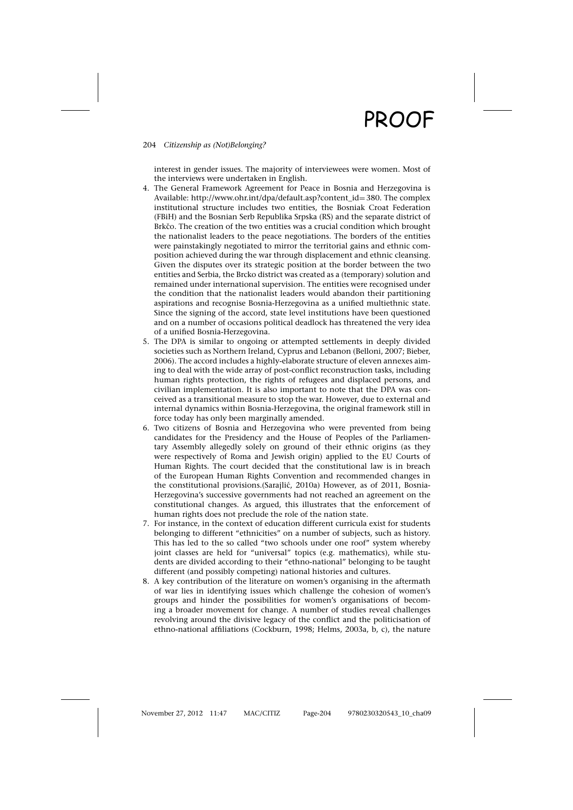#### 204 *Citizenship as (Not)Belonging?*

interest in gender issues. The majority of interviewees were women. Most of the interviews were undertaken in English.

- 4. The General Framework Agreement for Peace in Bosnia and Herzegovina is Available: http://www.ohr.int/dpa/default.asp?content\_id= 380. The complex institutional structure includes two entities, the Bosniak Croat Federation (FBiH) and the Bosnian Serb Republika Srpska (RS) and the separate district of Brkčo. The creation of the two entities was a crucial condition which brought the nationalist leaders to the peace negotiations. The borders of the entities were painstakingly negotiated to mirror the territorial gains and ethnic composition achieved during the war through displacement and ethnic cleansing. Given the disputes over its strategic position at the border between the two entities and Serbia, the Brcko district was created as a (temporary) solution and remained under international supervision. The entities were recognised under the condition that the nationalist leaders would abandon their partitioning aspirations and recognise Bosnia-Herzegovina as a unified multiethnic state. Since the signing of the accord, state level institutions have been questioned and on a number of occasions political deadlock has threatened the very idea of a unified Bosnia-Herzegovina.
- 5. The DPA is similar to ongoing or attempted settlements in deeply divided societies such as Northern Ireland, Cyprus and Lebanon (Belloni, 2007; Bieber, 2006). The accord includes a highly-elaborate structure of eleven annexes aiming to deal with the wide array of post-conflict reconstruction tasks, including human rights protection, the rights of refugees and displaced persons, and civilian implementation. It is also important to note that the DPA was conceived as a transitional measure to stop the war. However, due to external and internal dynamics within Bosnia-Herzegovina, the original framework still in force today has only been marginally amended.
- 6. Two citizens of Bosnia and Herzegovina who were prevented from being candidates for the Presidency and the House of Peoples of the Parliamentary Assembly allegedly solely on ground of their ethnic origins (as they were respectively of Roma and Jewish origin) applied to the EU Courts of Human Rights. The court decided that the constitutional law is in breach of the European Human Rights Convention and recommended changes in the constitutional provisions.(Sarajlić, 2010a) However, as of 2011, Bosnia-Herzegovina's successive governments had not reached an agreement on the constitutional changes. As argued, this illustrates that the enforcement of human rights does not preclude the role of the nation state.
- 7. For instance, in the context of education different curricula exist for students belonging to different "ethnicities" on a number of subjects, such as history. This has led to the so called "two schools under one roof" system whereby joint classes are held for "universal" topics (e.g. mathematics), while students are divided according to their "ethno-national" belonging to be taught different (and possibly competing) national histories and cultures.
- 8. A key contribution of the literature on women's organising in the aftermath of war lies in identifying issues which challenge the cohesion of women's groups and hinder the possibilities for women's organisations of becoming a broader movement for change. A number of studies reveal challenges revolving around the divisive legacy of the conflict and the politicisation of ethno-national affiliations (Cockburn, 1998; Helms, 2003a, b, c), the nature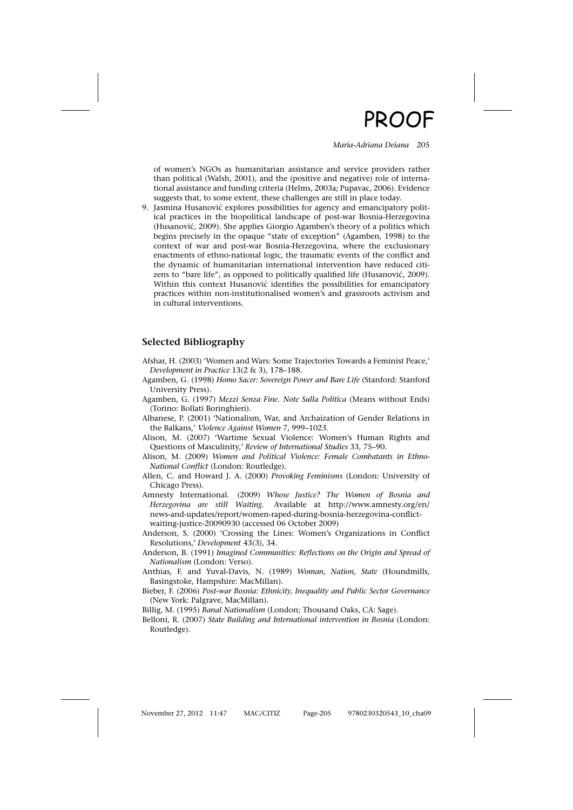*Maria-Adriana Deiana* 205

of women's NGOs as humanitarian assistance and service providers rather than political (Walsh, 2001), and the (positive and negative) role of international assistance and funding criteria (Helms, 2003a; Pupavac, 2006). Evidence suggests that, to some extent, these challenges are still in place today.

9. Jasmina Husanović explores possibilities for agency and emancipatory political practices in the biopolitical landscape of post-war Bosnia-Herzegovina (Husanovic, 2009). She applies Giorgio Agamben's theory of a politics which ´ begins precisely in the opaque "state of exception" (Agamben, 1998) to the context of war and post-war Bosnia-Herzegovina, where the exclusionary enactments of ethno-national logic, the traumatic events of the conflict and the dynamic of humanitarian international intervention have reduced citizens to "bare life", as opposed to politically qualified life (Husanović, 2009). Within this context Husanović identifies the possibilities for emancipatory practices within non-institutionalised women's and grassroots activism and in cultural interventions.

#### **Selected Bibliography**

- Afshar, H. (2003) 'Women and Wars: Some Trajectories Towards a Feminist Peace,' *Development in Practice* 13(2 & 3), 178–188.
- Agamben, G. (1998) *Homo Sacer: Sovereign Power and Bare Life* (Stanford: Stanford University Press).
- Agamben, G. (1997) *Mezzi Senza Fine. Note Sulla Politica* (Means without Ends) (Torino: Bollati Boringhieri).
- Albanese, P. (2001) 'Nationalism, War, and Archaization of Gender Relations in the Balkans,' *Violence Against Women* 7, 999–1023.
- Alison, M. (2007) 'Wartime Sexual Violence: Women's Human Rights and Questions of Masculinity,' *Review of International Studies* 33, 75–90.
- Alison, M. (2009) *Women and Political Violence: Female Combatants in Ethno-National Conflict* (London: Routledge).
- Allen, C. and Howard J. A. (2000) *Provoking Feminisms* (London: University of Chicago Press).
- Amnesty International. (2009) *Whose Justice? The Women of Bosnia and Herzegovina are still Waiting.* Available at http://www.amnesty.org/en/ news-and-updates/report/women-raped-during-bosnia-herzegovina-conflictwaiting-justice-20090930 (accessed 06 October 2009)
- Anderson, S. (2000) 'Crossing the Lines: Women's Organizations in Conflict Resolutions,' *Development* 43(3), 34.
- Anderson, B. (1991) *Imagined Communities: Reflections on the Origin and Spread of Nationalism* (London: Verso).
- Anthias, F. and Yuval-Davis, N. (1989) *Woman, Nation, State* (Houndmills, Basingstoke, Hampshire: MacMillan).
- Bieber, F. (2006) *Post-war Bosnia: Ethnicity, Inequality and Public Sector Governance* (New York: Palgrave, MacMillan).
- Billig, M. (1995) *Banal Nationalism* (London; Thousand Oaks, CA: Sage).
- Belloni, R. (2007) *State Building and International intervention in Bosnia* (London: Routledge).

November 27, 2012 11:47 MAC/CITIZ Page-205 9780230320543 10 cha09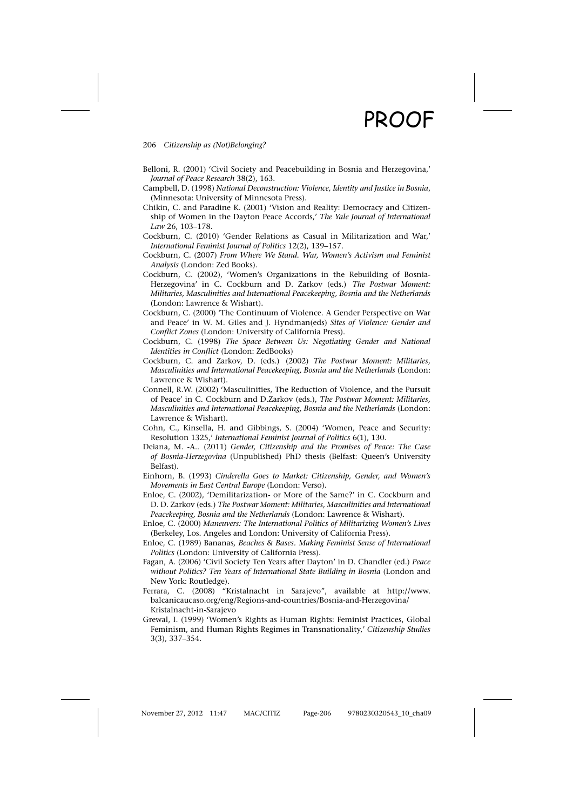206 *Citizenship as (Not)Belonging?*

- Belloni, R. (2001) 'Civil Society and Peacebuilding in Bosnia and Herzegovina,' *Journal of Peace Research* 38(2), 163.
- Campbell, D. (1998) *National Deconstruction: Violence, Identity and Justice in Bosnia*, (Minnesota: University of Minnesota Press).
- Chikin, C. and Paradine K. (2001) 'Vision and Reality: Democracy and Citizenship of Women in the Dayton Peace Accords,' *The Yale Journal of International Law* 26, 103–178.
- Cockburn, C. (2010) 'Gender Relations as Casual in Militarization and War,' *International Feminist Journal of Politics* 12(2), 139–157.
- Cockburn, C. (2007) *From Where We Stand. War, Women's Activism and Feminist Analysis* (London: Zed Books).
- Cockburn, C. (2002), 'Women's Organizations in the Rebuilding of Bosnia-Herzegovina' in C. Cockburn and D. Zarkov (eds.) *The Postwar Moment: Militaries, Masculinities and International Peacekeeping, Bosnia and the Netherlands* (London: Lawrence & Wishart).
- Cockburn, C. (2000) 'The Continuum of Violence. A Gender Perspective on War and Peace' in W. M. Giles and J. Hyndman(eds) *Sites of Violence: Gender and Conflict Zones* (London: University of California Press).
- Cockburn, C. (1998) *The Space Between Us: Negotiating Gender and National Identities in Conflict* (London: ZedBooks)
- Cockburn, C. and Zarkov, D. (eds.) (2002) *The Postwar Moment: Militaries, Masculinities and International Peacekeeping, Bosnia and the Netherlands* (London: Lawrence & Wishart).
- Connell, R.W. (2002) 'Masculinities, The Reduction of Violence, and the Pursuit of Peace' in C. Cockburn and D.Zarkov (eds.), *The Postwar Moment: Militaries, Masculinities and International Peacekeeping, Bosnia and the Netherlands* (London: Lawrence & Wishart).
- Cohn, C., Kinsella, H. and Gibbings, S. (2004) 'Women, Peace and Security: Resolution 1325,' *International Feminist Journal of Politics* 6(1), 130.
- Deiana, M. -A.. (2011) *Gender, Citizenship and the Promises of Peace: The Case of Bosnia-Herzegovina* (Unpublished) PhD thesis (Belfast: Queen's University Belfast).
- Einhorn, B. (1993) *Cinderella Goes to Market: Citizenship, Gender, and Women's Movements in East Central Europe* (London: Verso).
- Enloe, C. (2002), 'Demilitarization- or More of the Same?' in C. Cockburn and D. D. Zarkov (eds.) *The Postwar Moment: Militaries, Masculinities and International Peacekeeping, Bosnia and the Netherlands* (London: Lawrence & Wishart).
- Enloe, C. (2000) *Maneuvers: The International Politics of Militarizing Women's Lives* (Berkeley, Los. Angeles and London: University of California Press).
- Enloe, C. (1989) Bananas*, Beaches & Bases. Making Feminist Sense of International Politics* (London: University of California Press).
- Fagan, A. (2006) 'Civil Society Ten Years after Dayton' in D. Chandler (ed.) *Peace without Politics? Ten Years of International State Building in Bosnia* (London and New York: Routledge).
- Ferrara, C. (2008) "Kristalnacht in Sarajevo", available at http://www. balcanicaucaso.org/eng/Regions-and-countries/Bosnia-and-Herzegovina/ Kristalnacht-in-Sarajevo
- Grewal, I. (1999) 'Women's Rights as Human Rights: Feminist Practices, Global Feminism, and Human Rights Regimes in Transnationality,' *Citizenship Studies* 3(3), 337–354.

November 27, 2012 11:47 MAC/CITIZ Page-206 9780230320543 10 cha09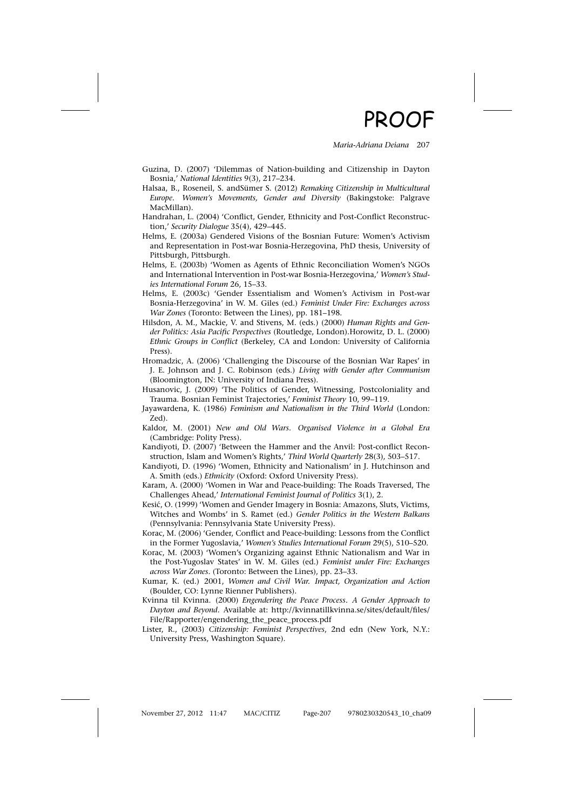*Maria-Adriana Deiana* 207

- Guzina, D. (2007) 'Dilemmas of Nation-building and Citizenship in Dayton Bosnia,' *National Identities* 9(3), 217–234.
- Halsaa, B., Roseneil, S. andSümer S. (2012) *Remaking Citizenship in Multicultural Europe. Women's Movements, Gender and Diversity* (Bakingstoke: Palgrave MacMillan).
- Handrahan, L. (2004) 'Conflict, Gender, Ethnicity and Post-Conflict Reconstruction,' *Security Dialogue* 35(4), 429–445.
- Helms, E. (2003a) Gendered Visions of the Bosnian Future: Women's Activism and Representation in Post-war Bosnia-Herzegovina, PhD thesis, University of Pittsburgh, Pittsburgh.
- Helms, E. (2003b) 'Women as Agents of Ethnic Reconciliation Women's NGOs and International Intervention in Post-war Bosnia-Herzegovina,' *Women's Studies International Forum* 26, 15–33.
- Helms, E. (2003c) 'Gender Essentialism and Women's Activism in Post-war Bosnia-Herzegovina' in W. M. Giles (ed.) *Feminist Under Fire: Exchanges across War Zones* (Toronto: Between the Lines), pp. 181–198.
- Hilsdon, A. M., Mackie, V. and Stivens, M. (eds.) (2000) *Human Rights and Gender Politics: Asia Pacific Perspectives* (Routledge, London).Horowitz, D. L. (2000) *Ethnic Groups in Conflict* (Berkeley, CA and London: University of California Press).
- Hromadzic, A. (2006) 'Challenging the Discourse of the Bosnian War Rapes' in J. E. Johnson and J. C. Robinson (eds.) *Living with Gender after Communism* (Bloomington, IN: University of Indiana Press).
- Husanovic, J. (2009) 'The Politics of Gender, Witnessing, Postcoloniality and Trauma. Bosnian Feminist Trajectories,' *Feminist Theory* 10, 99–119.
- Jayawardena, K. (1986) *Feminism and Nationalism in the Third World* (London: Zed).
- Kaldor, M. (2001) *New and Old Wars. Organised Violence in a Global Era* (Cambridge: Polity Press).
- Kandiyoti, D. (2007) 'Between the Hammer and the Anvil: Post-conflict Reconstruction, Islam and Women's Rights,' *Third World Quarterly* 28(3), 503–517.
- Kandiyoti, D. (1996) 'Women, Ethnicity and Nationalism' in J. Hutchinson and A. Smith (eds.) *Ethnicity* (Oxford: Oxford University Press).
- Karam, A. (2000) 'Women in War and Peace-building: The Roads Traversed, The Challenges Ahead,' *International Feminist Journal of Politics* 3(1), 2.
- Kesic, O. (1999) 'Women and Gender Imagery in Bosnia: Amazons, Sluts, Victims, ´ Witches and Wombs' in S. Ramet (ed.) *Gender Politics in the Western Balkans* (Pennsylvania: Pennsylvania State University Press).
- Korac, M. (2006) 'Gender, Conflict and Peace-building: Lessons from the Conflict in the Former Yugoslavia,' *Women's Studies International Forum* 29(5), 510–520.
- Korac, M. (2003) 'Women's Organizing against Ethnic Nationalism and War in the Post-Yugoslav States' in W. M. Giles (ed.) *Feminist under Fire: Exchanges across War Zones*. (Toronto: Between the Lines), pp. 23–33.
- Kumar, K. (ed.) 2001, *Women and Civil War. Impact, Organization and Action* (Boulder, CO: Lynne Rienner Publishers).
- Kvinna til Kvinna. (2000) *Engendering the Peace Process. A Gender Approach to Dayton and Beyond.* Available at: http://kvinnatillkvinna.se/sites/default/files/ File/Rapporter/engendering\_the\_peace\_process.pdf
- Lister, R., (2003) *Citizenship: Feminist Perspectives*, 2nd edn (New York, N.Y.: University Press, Washington Square).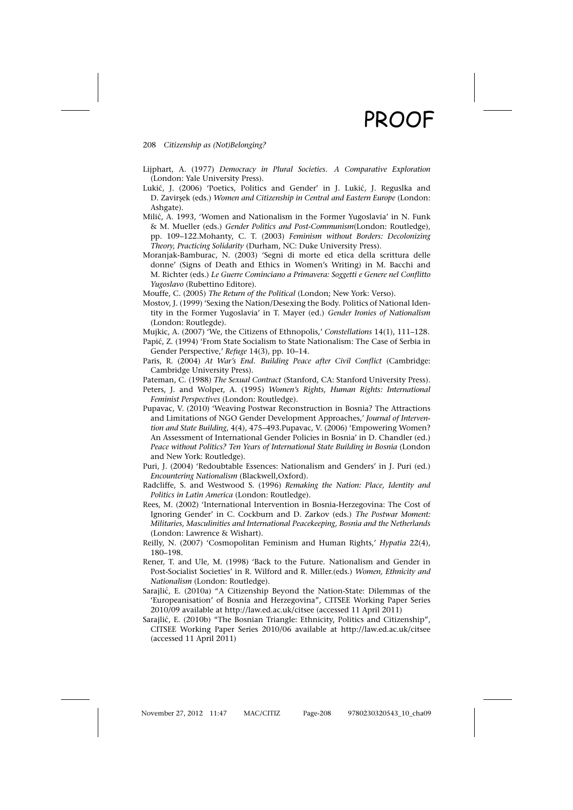208 *Citizenship as (Not)Belonging?*

- Lijphart, A. (1977) *Democracy in Plural Societies. A Comparative Exploration* (London: Yale University Press).
- Lukić, J. (2006) 'Poetics, Politics and Gender' in J. Lukić, J. Reguslka and D. Zavirsek (eds.) *Women and Citizenship in Central and Eastern Europe* (London: Ashgate).
- Milić, A. 1993, 'Women and Nationalism in the Former Yugoslavia' in N. Funk & M. Mueller (eds.) *Gender Politics and Post-Communism*(London: Routledge), pp. 109–122.Mohanty, C. T. (2003) *Feminism without Borders: Decolonizing Theory, Practicing Solidarity* (Durham, NC: Duke University Press).
- Moranjak-Bamburac, N. (2003) 'Segni di morte ed etica della scrittura delle donne' (Signs of Death and Ethics in Women's Writing) in M. Bacchi and M. Richter (eds.) *Le Guerre Cominciano a Primavera: Soggetti e Genere nel Conflitto Yugoslavo* (Rubettino Editore).

Mouffe, C. (2005) *The Return of the Political* (London; New York: Verso).

- Mostov, J. (1999) 'Sexing the Nation/Desexing the Body. Politics of National Identity in the Former Yugoslavia' in T. Mayer (ed.) *Gender Ironies of Nationalism* (London: Routlegde).
- Mujkic, A. (2007) 'We, the Citizens of Ethnopolis,' *Constellations* 14(1), 111–128.
- Papic, Z. (1994) 'From State Socialism to State Nationalism: The Case of Serbia in ´ Gender Perspective,' *Refuge* 14(3), pp. 10–14.
- Paris, R. (2004) *At War's End. Building Peace after Civil Conflict* (Cambridge: Cambridge University Press).

Pateman, C. (1988) *The Sexual Contract* (Stanford, CA: Stanford University Press).

- Peters, J. and Wolper, A. (1995) *Women's Rights, Human Rights: International Feminist Perspectives* (London: Routledge).
- Pupavac, V. (2010) 'Weaving Postwar Reconstruction in Bosnia? The Attractions and Limitations of NGO Gender Development Approaches,' *Journal of Intervention and State Building*, 4(4), 475–493.Pupavac, V. (2006) 'Empowering Women? An Assessment of International Gender Policies in Bosnia' in D. Chandler (ed.) *Peace without Politics? Ten Years of International State Building in Bosnia* (London and New York: Routledge).
- Puri, J. (2004) 'Redoubtable Essences: Nationalism and Genders' in J. Puri (ed.) *Encountering Nationalism* (Blackwell,Oxford).
- Radcliffe, S. and Westwood S. (1996) *Remaking the Nation: Place, Identity and Politics in Latin America* (London: Routledge).
- Rees, M. (2002) 'International Intervention in Bosnia-Herzegovina: The Cost of Ignoring Gender' in C. Cockburn and D. Zarkov (eds.) *The Postwar Moment: Militaries, Masculinities and International Peacekeeping, Bosnia and the Netherlands* (London: Lawrence & Wishart).
- Reilly, N. (2007) 'Cosmopolitan Feminism and Human Rights,' *Hypatia* 22(4), 180–198.
- Rener, T. and Ule, M. (1998) 'Back to the Future. Nationalism and Gender in Post-Socialist Societies' in R. Wilford and R. Miller.(eds.) *Women, Ethnicity and Nationalism* (London: Routledge).
- Sarajlić, E. (2010a) "A Citizenship Beyond the Nation-State: Dilemmas of the 'Europeanisation' of Bosnia and Herzegovina", CITSEE Working Paper Series 2010/09 available at http://law.ed.ac.uk/citsee (accessed 11 April 2011)
- Sarajlić, E. (2010b) "The Bosnian Triangle: Ethnicity, Politics and Citizenship", CITSEE Working Paper Series 2010/06 available at http://law.ed.ac.uk/citsee (accessed 11 April 2011)

November 27, 2012 11:47 MAC/CITIZ Page-208 9780230320543 10 cha09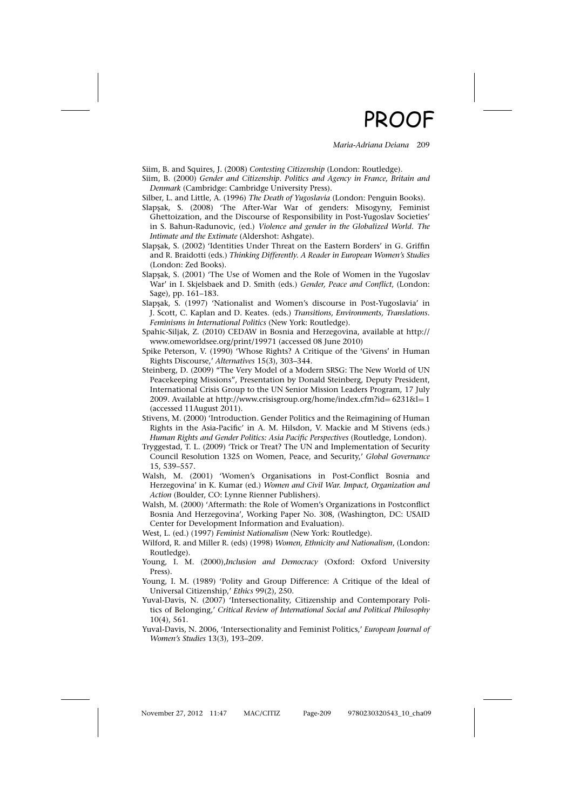*Maria-Adriana Deiana* 209

Siim, B. and Squires, J. (2008) *Contesting Citizenship* (London: Routledge).

- Siim, B. (2000) *Gender and Citizenship. Politics and Agency in France, Britain and Denmark* (Cambridge: Cambridge University Press).
- Silber, L. and Little, A. (1996) *The Death of Yugoslavia* (London: Penguin Books).
- Slapşak, S. (2008) 'The After-War War of genders: Misogyny, Feminist Ghettoization, and the Discourse of Responsibility in Post-Yugoslav Societies' in S. Bahun-Radunovic, (ed.) *Violence and gender in the Globalized World. The Intimate and the Extimate* (Aldershot: Ashgate).
- Slapşak, S. (2002) 'Identities Under Threat on the Eastern Borders' in G. Griffin and R. Braidotti (eds.) *Thinking Differently. A Reader in European Women's Studies* (London: Zed Books).
- Slapşak, S. (2001) 'The Use of Women and the Role of Women in the Yugoslav War' in I. Skjelsbaek and D. Smith (eds.) *Gender, Peace and Conflict*, (London: Sage), pp. 161–183.
- Slapşak, S. (1997) 'Nationalist and Women's discourse in Post-Yugoslavia' in J. Scott, C. Kaplan and D. Keates. (eds.) *Transitions, Environments, Translations. Feminisms in International Politics* (New York: Routledge).
- Spahic-Siljak, Z. (2010) CEDAW in Bosnia and Herzegovina, available at http:// www.omeworldsee.org/print/19971 (accessed 08 June 2010)
- Spike Peterson, V. (1990) 'Whose Rights? A Critique of the 'Givens' in Human Rights Discourse,' *Alternatives* 15(3), 303–344.
- Steinberg, D. (2009) "The Very Model of a Modern SRSG: The New World of UN Peacekeeping Missions", Presentation by Donald Steinberg, Deputy President, International Crisis Group to the UN Senior Mission Leaders Program, 17 July 2009. Available at http://www.crisisgroup.org/home/index.cfm?id= 6231&l= 1 (accessed 11August 2011).
- Stivens, M. (2000) 'Introduction. Gender Politics and the Reimagining of Human Rights in the Asia-Pacific' in A. M. Hilsdon, V. Mackie and M Stivens (eds.) *Human Rights and Gender Politics: Asia Pacific Perspectives* (Routledge, London).
- Tryggestad, T. L. (2009) 'Trick or Treat? The UN and Implementation of Security Council Resolution 1325 on Women, Peace, and Security,' *Global Governance* 15, 539–557.
- Walsh, M. (2001) 'Women's Organisations in Post-Conflict Bosnia and Herzegovina' in K. Kumar (ed.) *Women and Civil War. Impact, Organization and Action* (Boulder, CO: Lynne Rienner Publishers).
- Walsh, M. (2000) 'Aftermath: the Role of Women's Organizations in Postconflict Bosnia And Herzegovina', Working Paper No. 308, (Washington, DC: USAID Center for Development Information and Evaluation).
- West, L. (ed.) (1997) *Feminist Nationalism* (New York: Routledge).
- Wilford, R. and Miller R. (eds) (1998) *Women, Ethnicity and Nationalism*, (London: Routledge).
- Young, I. M. (2000),*Inclusion and Democracy* (Oxford: Oxford University Press).
- Young, I. M. (1989) 'Polity and Group Difference: A Critique of the Ideal of Universal Citizenship,' *Ethics* 99(2), 250.
- Yuval-Davis, N. (2007) 'Intersectionality, Citizenship and Contemporary Politics of Belonging,' *Critical Review of International Social and Political Philosophy* 10(4), 561.
- Yuval-Davis, N. 2006, 'Intersectionality and Feminist Politics,' *European Journal of Women's Studies* 13(3), 193–209.

November 27, 2012 11:47 MAC/CITIZ Page-209 9780230320543\_10\_cha09